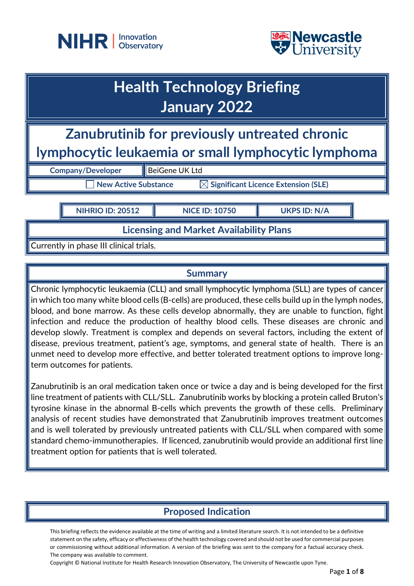



# **Health Technology Briefing January 2022**

**Zanubrutinib for previously untreated chronic lymphocytic leukaemia or small lymphocytic lymphoma**

**Company/Developer** BeiGene UK Ltd

 $\overline{\phantom{x}}$  New Active Substance  $\overline{\phantom{x}}$  Significant Licence Extension (SLE)

**NIHRIO ID: 20512 NICE ID: 10750 UKPS ID: N/A**

**Licensing and Market Availability Plans**

Currently in phase III clinical trials.

## **Summary**

Chronic lymphocytic leukaemia (CLL) and small lymphocytic lymphoma (SLL) are types of cancer in which too many white blood cells (B-cells) are produced, these cells build up in the lymph nodes, blood, and bone marrow. As these cells develop abnormally, they are unable to function, fight infection and reduce the production of healthy blood cells. These diseases are chronic and develop slowly. Treatment is complex and depends on several factors, including the extent of disease, previous treatment, patient's age, symptoms, and general state of health. There is an unmet need to develop more effective, and better tolerated treatment options to improve longterm outcomes for patients.

Zanubrutinib is an oral medication taken once or twice a day and is being developed for the first line treatment of patients with CLL/SLL. Zanubrutinib works by blocking a protein called Bruton's tyrosine kinase in the abnormal B-cells which prevents the growth of these cells. Preliminary analysis of recent studies have demonstrated that Zanubrutinib improves treatment outcomes and is well tolerated by previously untreated patients with CLL/SLL when compared with some standard chemo-immunotherapies. If licenced, zanubrutinib would provide an additional first line treatment option for patients that is well tolerated.

# **Proposed Indication**

This briefing reflects the evidence available at the time of writing and a limited literature search. It is not intended to be a definitive statement on the safety, efficacy or effectiveness of the health technology covered and should not be used for commercial purposes or commissioning without additional information. A version of the briefing was sent to the company for a factual accuracy check. The company was available to comment.

Copyright © National Institute for Health Research Innovation Observatory, The University of Newcastle upon Tyne.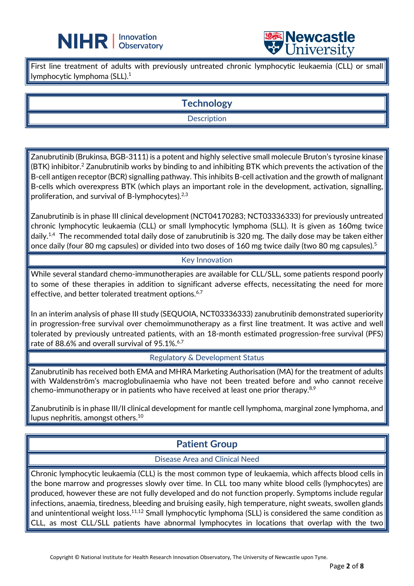



First line treatment of adults with previously untreated chronic lymphocytic leukaemia (CLL) or small lymphocytic lymphoma (SLL). 1

L

# **Technology**

#### **Description**

Zanubrutinib (Brukinsa, BGB-3111) is a potent and highly selective small molecule Bruton's tyrosine kinase (BTK) inhibitor.2 Zanubrutinib works by binding to and inhibiting BTK which prevents the activation of the B-cell antigen receptor (BCR) signalling pathway. This inhibits B-cell activation and the growth of malignant B-cells which overexpress BTK (which plays an important role in the development, activation, signalling, proliferation, and survival of B-lymphocytes).<sup>2,3</sup>

Zanubrutinib is in phase III clinical development (NCT04170283; NCT03336333) for previously untreated chronic lymphocytic leukaemia (CLL) or small lymphocytic lymphoma (SLL). It is given as 160mg twice daily.<sup>1,4</sup> The recommended total daily dose of zanubrutinib is 320 mg. The daily dose may be taken either once daily (four 80 mg capsules) or divided into two doses of 160 mg twice daily (two 80 mg capsules).<sup>5</sup>

### Key Innovation

While several standard chemo-immunotherapies are available for CLL/SLL, some patients respond poorly to some of these therapies in addition to significant adverse effects, necessitating the need for more effective, and better tolerated treatment options. 6,7

In an interim analysis of phase III study (SEQUOIA, NCT03336333) zanubrutinib demonstrated superiority in progression-free survival over chemoimmunotherapy as a first line treatment. It was active and well tolerated by previously untreated patients, with an 18-month estimated progression-free survival (PFS) rate of 88.6% and overall survival of 95.1%.<sup>6,7</sup>

Regulatory & Development Status

Zanubrutinib has received both EMA and MHRA Marketing Authorisation (MA) for the treatment of adults with Waldenström's macroglobulinaemia who have not been treated before and who cannot receive chemo-immunotherapy or in patients who have received at least one prior therapy.<sup>8,9</sup>

Zanubrutinib is in phase III/II clinical development for mantle cell lymphoma, marginal zone lymphoma, and lupus nephritis, amongst others.<sup>10</sup>

## **Patient Group**

### Disease Area and Clinical Need

Chronic lymphocytic leukaemia (CLL) is the most common type of leukaemia, which affects blood cells in the bone marrow and progresses slowly over time. In CLL too many white blood cells (lymphocytes) are produced, however these are not fully developed and do not function properly. Symptoms include regular infections, anaemia, tiredness, bleeding and bruising easily, high temperature, night sweats, swollen glands and unintentional weight loss.<sup>11,12</sup> Small lymphocytic lymphoma (SLL) is considered the same condition as CLL, as most CLL/SLL patients have abnormal lymphocytes in locations that overlap with the two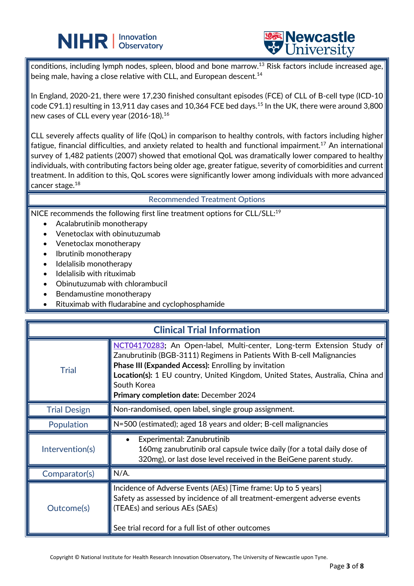



conditions, including lymph nodes, spleen, blood and bone marrow.<sup>13</sup> Risk factors include increased age, being male, having a close relative with CLL, and European descent.<sup>14</sup>

L

In England, 2020-21, there were 17,230 finished consultant episodes (FCE) of CLL of B-cell type (ICD-10 code C91.1) resulting in 13,911 day cases and 10,364 FCE bed days.<sup>15</sup> In the UK, there were around 3,800 new cases of CLL every year (2016-18).16

CLL severely affects quality of life (QoL) in comparison to healthy controls, with factors including higher fatigue, financial difficulties, and anxiety related to health and functional impairment.<sup>17</sup> An international survey of 1,482 patients (2007) showed that emotional QoL was dramatically lower compared to healthy individuals, with contributing factors being older age, greater fatigue, severity of comorbidities and current treatment. In addition to this, QoL scores were significantly lower among individuals with more advanced cancer stage.<sup>18</sup>

#### Recommended Treatment Options

NICE recommends the following first line treatment options for CLL/SLL:<sup>19</sup>

- Acalabrutinib monotherapy
- Venetoclax with obinutuzumab
- Venetoclax monotherapy
- Ibrutinib monotherapy
- Idelalisib monotherapy
- Idelalisib with rituximab
- Obinutuzumab with chlorambucil
- Bendamustine monotherapy
- Rituximab with fludarabine and cyclophosphamide

## **Clinical Trial Information**

| <b>Trial</b>        | NCT04170283; An Open-label, Multi-center, Long-term Extension Study of<br>Zanubrutinib (BGB-3111) Regimens in Patients With B-cell Malignancies<br><b>Phase III (Expanded Access): Enrolling by invitation</b><br>Location(s): 1 EU country, United Kingdom, United States, Australia, China and<br>South Korea<br>Primary completion date: December 2024 |
|---------------------|-----------------------------------------------------------------------------------------------------------------------------------------------------------------------------------------------------------------------------------------------------------------------------------------------------------------------------------------------------------|
| <b>Trial Design</b> | Non-randomised, open label, single group assignment.                                                                                                                                                                                                                                                                                                      |
| Population          | N=500 (estimated); aged 18 years and older; B-cell malignancies                                                                                                                                                                                                                                                                                           |
| Intervention(s)     | Experimental: Zanubrutinib<br>160mg zanubrutinib oral capsule twice daily (for a total daily dose of<br>320mg), or last dose level received in the BeiGene parent study.                                                                                                                                                                                  |
| Comparator(s)       | $\parallel$ N/A.                                                                                                                                                                                                                                                                                                                                          |
| Outcome(s)          | Incidence of Adverse Events (AEs) [Time frame: Up to 5 years]<br>Safety as assessed by incidence of all treatment-emergent adverse events<br>(TEAEs) and serious AEs (SAEs)<br>See trial record for a full list of other outcomes                                                                                                                         |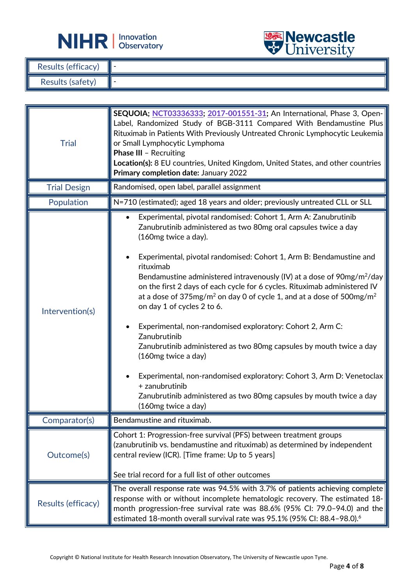



| Results (efficacy)      | III - |
|-------------------------|-------|
| <b>Results (safety)</b> |       |

L

| <b>Trial</b>        | SEQUOIA; NCT03336333; 2017-001551-31; An International, Phase 3, Open-<br>Label, Randomized Study of BGB-3111 Compared With Bendamustine Plus<br>Rituximab in Patients With Previously Untreated Chronic Lymphocytic Leukemia<br>or Small Lymphocytic Lymphoma<br><b>Phase III - Recruiting</b><br>Location(s): 8 EU countries, United Kingdom, United States, and other countries<br>Primary completion date: January 2022                                                                                                                                                                                                                                                                                                                                                                                                                                                                        |
|---------------------|----------------------------------------------------------------------------------------------------------------------------------------------------------------------------------------------------------------------------------------------------------------------------------------------------------------------------------------------------------------------------------------------------------------------------------------------------------------------------------------------------------------------------------------------------------------------------------------------------------------------------------------------------------------------------------------------------------------------------------------------------------------------------------------------------------------------------------------------------------------------------------------------------|
| <b>Trial Design</b> | Randomised, open label, parallel assignment                                                                                                                                                                                                                                                                                                                                                                                                                                                                                                                                                                                                                                                                                                                                                                                                                                                        |
| Population          | N=710 (estimated); aged 18 years and older; previously untreated CLL or SLL                                                                                                                                                                                                                                                                                                                                                                                                                                                                                                                                                                                                                                                                                                                                                                                                                        |
| Intervention(s)     | Experimental, pivotal randomised: Cohort 1, Arm A: Zanubrutinib<br>Zanubrutinib administered as two 80mg oral capsules twice a day<br>(160mg twice a day).<br>Experimental, pivotal randomised: Cohort 1, Arm B: Bendamustine and<br>rituximab<br>Bendamustine administered intravenously (IV) at a dose of 90mg/m <sup>2</sup> /day<br>on the first 2 days of each cycle for 6 cycles. Rituximab administered IV<br>at a dose of $375mg/m^2$ on day 0 of cycle 1, and at a dose of $500mg/m^2$<br>on day 1 of cycles 2 to 6.<br>Experimental, non-randomised exploratory: Cohort 2, Arm C:<br>Zanubrutinib<br>Zanubrutinib administered as two 80mg capsules by mouth twice a day<br>(160mg twice a day)<br>Experimental, non-randomised exploratory: Cohort 3, Arm D: Venetoclax<br>+ zanubrutinib<br>Zanubrutinib administered as two 80mg capsules by mouth twice a day<br>(160mg twice a day) |
| Comparator(s)       | Bendamustine and rituximab.                                                                                                                                                                                                                                                                                                                                                                                                                                                                                                                                                                                                                                                                                                                                                                                                                                                                        |
| Outcome(s)          | Cohort 1: Progression-free survival (PFS) between treatment groups<br>(zanubrutinib vs. bendamustine and rituximab) as determined by independent<br>central review (ICR). [Time frame: Up to 5 years]<br>See trial record for a full list of other outcomes                                                                                                                                                                                                                                                                                                                                                                                                                                                                                                                                                                                                                                        |
| Results (efficacy)  | The overall response rate was 94.5% with 3.7% of patients achieving complete<br>response with or without incomplete hematologic recovery. The estimated 18-<br>month progression-free survival rate was 88.6% (95% CI: 79.0-94.0) and the<br>estimated 18-month overall survival rate was 95.1% (95% CI: 88.4-98.0). <sup>6</sup>                                                                                                                                                                                                                                                                                                                                                                                                                                                                                                                                                                  |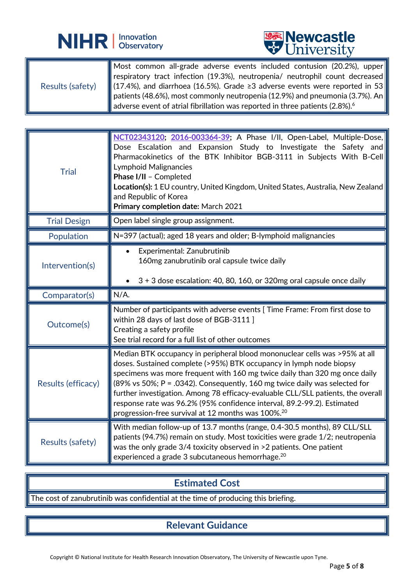



| respiratory tract infection (19.3%), neutropenia/ neutrophil count decreased<br>  (17.4%), and diarrhoea (16.5%). Grade ≥3 adverse events were reported in 53<br>Results (safety) | Most common all-grade adverse events included contusion (20.2%), upper |
|-----------------------------------------------------------------------------------------------------------------------------------------------------------------------------------|------------------------------------------------------------------------|
|                                                                                                                                                                                   |                                                                        |
|                                                                                                                                                                                   |                                                                        |
| $\parallel$ patients (48.6%), most commonly neutropenia (12.9%) and pneumonia (3.7%). An $\parallel$                                                                              |                                                                        |
| $\parallel$ adverse event of atrial fibrillation was reported in three patients (2.8%). <sup>6</sup>                                                                              |                                                                        |

L

| <b>Trial</b>        | NCT02343120; 2016-003364-39; A Phase I/II, Open-Label, Multiple-Dose,<br>Dose Escalation and Expansion Study to Investigate the Safety and<br>Pharmacokinetics of the BTK Inhibitor BGB-3111 in Subjects With B-Cell<br><b>Lymphoid Malignancies</b><br>Phase I/II - Completed<br>Location(s): 1 EU country, United Kingdom, United States, Australia, New Zealand<br>and Republic of Korea<br>Primary completion date: March 2021                                                                                                                           |
|---------------------|--------------------------------------------------------------------------------------------------------------------------------------------------------------------------------------------------------------------------------------------------------------------------------------------------------------------------------------------------------------------------------------------------------------------------------------------------------------------------------------------------------------------------------------------------------------|
| <b>Trial Design</b> | Open label single group assignment.                                                                                                                                                                                                                                                                                                                                                                                                                                                                                                                          |
| Population          | N=397 (actual); aged 18 years and older; B-lymphoid malignancies                                                                                                                                                                                                                                                                                                                                                                                                                                                                                             |
| Intervention(s)     | Experimental: Zanubrutinib<br>160mg zanubrutinib oral capsule twice daily<br>3 + 3 dose escalation: 40, 80, 160, or 320mg oral capsule once daily                                                                                                                                                                                                                                                                                                                                                                                                            |
| Comparator(s)       | N/A.                                                                                                                                                                                                                                                                                                                                                                                                                                                                                                                                                         |
| Outcome(s)          | Number of participants with adverse events [ Time Frame: From first dose to<br>within 28 days of last dose of BGB-3111 ]<br>Creating a safety profile<br>See trial record for a full list of other outcomes                                                                                                                                                                                                                                                                                                                                                  |
| Results (efficacy)  | Median BTK occupancy in peripheral blood mononuclear cells was >95% at all<br>doses. Sustained complete (>95%) BTK occupancy in lymph node biopsy<br>specimens was more frequent with 160 mg twice daily than 320 mg once daily<br>$(89\% \text{ vs } 50\%; P = .0342)$ . Consequently, 160 mg twice daily was selected for<br>further investigation. Among 78 efficacy-evaluable CLL/SLL patients, the overall<br>response rate was 96.2% (95% confidence interval, 89.2-99.2). Estimated<br>progression-free survival at 12 months was 100%. <sup>20</sup> |
| Results (safety)    | With median follow-up of 13.7 months (range, 0.4-30.5 months), 89 CLL/SLL<br>patients (94.7%) remain on study. Most toxicities were grade 1/2; neutropenia<br>was the only grade 3/4 toxicity observed in >2 patients. One patient<br>experienced a grade 3 subcutaneous hemorrhage. <sup>20</sup>                                                                                                                                                                                                                                                           |

## **Estimated Cost**

The cost of zanubrutinib was confidential at the time of producing this briefing.

# **Relevant Guidance**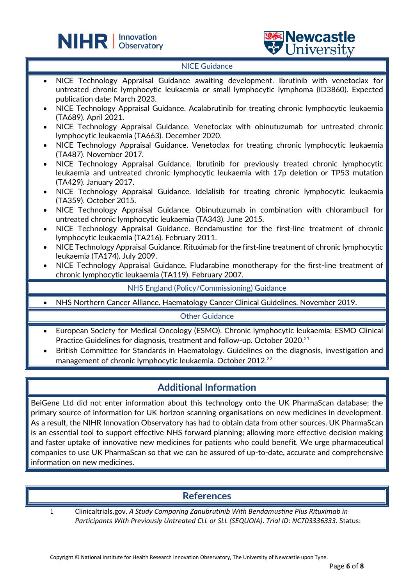



#### NICE Guidance

L

- NICE Technology Appraisal Guidance awaiting development. Ibrutinib with venetoclax for untreated chronic lymphocytic leukaemia or small lymphocytic lymphoma (ID3860). Expected publication date: March 2023.
- NICE Technology Appraisal Guidance. Acalabrutinib for treating chronic lymphocytic leukaemia (TA689). April 2021.
- NICE Technology Appraisal Guidance. Venetoclax with obinutuzumab for untreated chronic lymphocytic leukaemia (TA663). December 2020.
- NICE Technology Appraisal Guidance. Venetoclax for treating chronic lymphocytic leukaemia (TA487). November 2017.
- NICE Technology Appraisal Guidance. Ibrutinib for previously treated chronic lymphocytic leukaemia and untreated chronic lymphocytic leukaemia with 17p deletion or TP53 mutation (TA429). January 2017.
- NICE Technology Appraisal Guidance. Idelalisib for treating chronic lymphocytic leukaemia (TA359). October 2015.
- NICE Technology Appraisal Guidance. Obinutuzumab in combination with chlorambucil for untreated chronic lymphocytic leukaemia (TA343). June 2015.
- NICE Technology Appraisal Guidance. Bendamustine for the first-line treatment of chronic lymphocytic leukaemia (TA216). February 2011.
- NICE Technology Appraisal Guidance. Rituximab for the first-line treatment of chronic lymphocytic leukaemia (TA174). July 2009.
- NICE Technology Appraisal Guidance. Fludarabine monotherapy for the first-line treatment of chronic lymphocytic leukaemia (TA119). February 2007.

NHS England (Policy/Commissioning) Guidance

• NHS Northern Cancer Alliance. Haematology Cancer Clinical Guidelines. November 2019.

### Other Guidance

- European Society for Medical Oncology (ESMO). Chronic lymphocytic leukaemia: ESMO Clinical Practice Guidelines for diagnosis, treatment and follow-up. October 2020.<sup>21</sup>
- British Committee for Standards in Haematology. Guidelines on the diagnosis, investigation and management of chronic lymphocytic leukaemia. October 2012.<sup>22</sup>

## **Additional Information**

BeiGene Ltd did not enter information about this technology onto the UK PharmaScan database; the primary source of information for UK horizon scanning organisations on new medicines in development. As a result, the NIHR Innovation Observatory has had to obtain data from other sources. UK PharmaScan is an essential tool to support effective NHS forward planning; allowing more effective decision making and faster uptake of innovative new medicines for patients who could benefit. We urge pharmaceutical companies to use UK PharmaScan so that we can be assured of up-to-date, accurate and comprehensive information on new medicines.

## **References**

1 Clinicaltrials.gov. *A Study Comparing Zanubrutinib With Bendamustine Plus Rituximab in Participants With Previously Untreated CLL or SLL (SEQUOIA)*. *Trial ID: NCT03336333*. Status: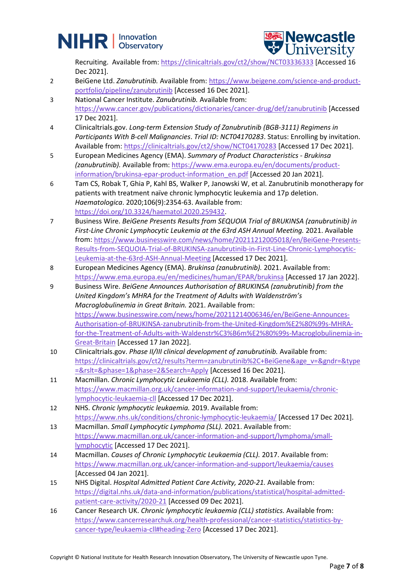



Recruiting. Available from[: https://clinicaltrials.gov/ct2/show/NCT03336333](https://clinicaltrials.gov/ct2/show/NCT03336333) [Accessed 16 Dec 2021].

- 2 BeiGene Ltd. *Zanubrutinib.* Available from[: https://www.beigene.com/science-and-product](https://www.beigene.com/science-and-product-portfolio/pipeline/zanubrutinib)[portfolio/pipeline/zanubrutinib](https://www.beigene.com/science-and-product-portfolio/pipeline/zanubrutinib) [Accessed 16 Dec 2021].
- 3 National Cancer Institute. *Zanubrutinib.* Available from: <https://www.cancer.gov/publications/dictionaries/cancer-drug/def/zanubrutinib> [Accessed 17 Dec 2021].
- 4 Clinicaltrials.gov. *Long-term Extension Study of Zanubrutinib (BGB-3111) Regimens in Participants With B-cell Malignancies*. *Trial ID: NCT04170283*. Status: Enrolling by invitation. Available from:<https://clinicaltrials.gov/ct2/show/NCT04170283> [Accessed 17 Dec 2021].
- 5 European Medicines Agency (EMA). *Summary of Product Characteristics - Brukinsa (zanubrutinib).* Available from: [https://www.ema.europa.eu/en/documents/product](https://www.ema.europa.eu/en/documents/product-information/brukinsa-epar-product-information_en.pdf)[information/brukinsa-epar-product-information\\_en.pdf](https://www.ema.europa.eu/en/documents/product-information/brukinsa-epar-product-information_en.pdf) [Accessed 20 Jan 2021].
- 6 Tam CS, Robak T, Ghia P, Kahl BS, Walker P, Janowski W, et al. Zanubrutinib monotherapy for patients with treatment naïve chronic lymphocytic leukemia and 17p deletion. *Haematologica*. 2020;106(9):2354-63. Available from: [https://doi.org/10.3324/haematol.2020.259432.](https://doi.org/10.3324/haematol.2020.259432)
- 7 Business Wire. *BeiGene Presents Results from SEQUOIA Trial of BRUKINSA (zanubrutinib) in First-Line Chronic Lymphocytic Leukemia at the 63rd ASH Annual Meeting.* 2021. Available from: [https://www.businesswire.com/news/home/20211212005018/en/BeiGene-Presents-](https://www.businesswire.com/news/home/20211212005018/en/BeiGene-Presents-Results-from-SEQUOIA-Trial-of-BRUKINSA-zanubrutinib-in-First-Line-Chronic-Lymphocytic-Leukemia-at-the-63rd-ASH-Annual-Meeting)[Results-from-SEQUOIA-Trial-of-BRUKINSA-zanubrutinib-in-First-Line-Chronic-Lymphocytic-](https://www.businesswire.com/news/home/20211212005018/en/BeiGene-Presents-Results-from-SEQUOIA-Trial-of-BRUKINSA-zanubrutinib-in-First-Line-Chronic-Lymphocytic-Leukemia-at-the-63rd-ASH-Annual-Meeting)[Leukemia-at-the-63rd-ASH-Annual-Meeting](https://www.businesswire.com/news/home/20211212005018/en/BeiGene-Presents-Results-from-SEQUOIA-Trial-of-BRUKINSA-zanubrutinib-in-First-Line-Chronic-Lymphocytic-Leukemia-at-the-63rd-ASH-Annual-Meeting) [Accessed 17 Dec 2021].
- 8 European Medicines Agency (EMA). *Brukinsa (zanubrutinib).* 2021. Available from: <https://www.ema.europa.eu/en/medicines/human/EPAR/brukinsa> [Accessed 17 Jan 2022].
- 9 Business Wire. *BeiGene Announces Authorisation of BRUKINSA (zanubrutinib) from the United Kingdom's MHRA for the Treatment of Adults with Waldenström's Macroglobulinemia in Great Britain.* 2021. Available from: [https://www.businesswire.com/news/home/20211214006346/en/BeiGene-Announces-](https://www.businesswire.com/news/home/20211214006346/en/BeiGene-Announces-Authorisation-of-BRUKINSA-zanubrutinib-from-the-United-Kingdom%E2%80%99s-MHRA-for-the-Treatment-of-Adults-with-Waldenstr%C3%B6m%E2%80%99s-Macroglobulinemia-in-Great-Britain)[Authorisation-of-BRUKINSA-zanubrutinib-from-the-United-Kingdom%E2%80%99s-MHRA](https://www.businesswire.com/news/home/20211214006346/en/BeiGene-Announces-Authorisation-of-BRUKINSA-zanubrutinib-from-the-United-Kingdom%E2%80%99s-MHRA-for-the-Treatment-of-Adults-with-Waldenstr%C3%B6m%E2%80%99s-Macroglobulinemia-in-Great-Britain)[for-the-Treatment-of-Adults-with-Waldenstr%C3%B6m%E2%80%99s-Macroglobulinemia-in-](https://www.businesswire.com/news/home/20211214006346/en/BeiGene-Announces-Authorisation-of-BRUKINSA-zanubrutinib-from-the-United-Kingdom%E2%80%99s-MHRA-for-the-Treatment-of-Adults-with-Waldenstr%C3%B6m%E2%80%99s-Macroglobulinemia-in-Great-Britain)[Great-Britain](https://www.businesswire.com/news/home/20211214006346/en/BeiGene-Announces-Authorisation-of-BRUKINSA-zanubrutinib-from-the-United-Kingdom%E2%80%99s-MHRA-for-the-Treatment-of-Adults-with-Waldenstr%C3%B6m%E2%80%99s-Macroglobulinemia-in-Great-Britain) [Accessed 17 Jan 2022].
- 10 Clinicaltrials.gov. *Phase II/III clinical development of zanubrutinib.* Available from: [https://clinicaltrials.gov/ct2/results?term=zanubrutinib%2C+BeiGene&age\\_v=&gndr=&type](https://clinicaltrials.gov/ct2/results?term=zanubrutinib%2C+BeiGene&age_v=&gndr=&type=&rslt=&phase=1&phase=2&Search=Apply) [=&rslt=&phase=1&phase=2&Search=Apply](https://clinicaltrials.gov/ct2/results?term=zanubrutinib%2C+BeiGene&age_v=&gndr=&type=&rslt=&phase=1&phase=2&Search=Apply) [Accessed 16 Dec 2021].
- 11 Macmillan. *Chronic Lymphocytic Leukaemia (CLL).* 2018. Available from: [https://www.macmillan.org.uk/cancer-information-and-support/leukaemia/chronic](https://www.macmillan.org.uk/cancer-information-and-support/leukaemia/chronic-lymphocytic-leukaemia-cll)[lymphocytic-leukaemia-cll](https://www.macmillan.org.uk/cancer-information-and-support/leukaemia/chronic-lymphocytic-leukaemia-cll) [Accessed 17 Dec 2021].
- 12 NHS. *Chronic lymphocytic leukaemia.* 2019. Available from: <https://www.nhs.uk/conditions/chronic-lymphocytic-leukaemia/> [Accessed 17 Dec 2021].
- 13 Macmillan. *Small Lymphocytic Lymphoma (SLL).* 2021. Available from: [https://www.macmillan.org.uk/cancer-information-and-support/lymphoma/small](https://www.macmillan.org.uk/cancer-information-and-support/lymphoma/small-lymphocytic)[lymphocytic](https://www.macmillan.org.uk/cancer-information-and-support/lymphoma/small-lymphocytic) [Accessed 17 Dec 2021].
- 14 Macmillan. *Causes of Chronic Lymphocytic Leukaemia (CLL).* 2017. Available from: <https://www.macmillan.org.uk/cancer-information-and-support/leukaemia/causes> [Accessed 04 Jan 2021].
- 15 NHS Digital. *Hospital Admitted Patient Care Activity, 2020-21.* Available from: [https://digital.nhs.uk/data-and-information/publications/statistical/hospital-admitted](https://digital.nhs.uk/data-and-information/publications/statistical/hospital-admitted-patient-care-activity/2020-21)[patient-care-activity/2020-21](https://digital.nhs.uk/data-and-information/publications/statistical/hospital-admitted-patient-care-activity/2020-21) [Accessed 09 Dec 2021].
- 16 Cancer Research UK. *Chronic lymphocytic leukaemia (CLL) statistics.* Available from: [https://www.cancerresearchuk.org/health-professional/cancer-statistics/statistics-by](https://www.cancerresearchuk.org/health-professional/cancer-statistics/statistics-by-cancer-type/leukaemia-cll#heading-Zero)[cancer-type/leukaemia-cll#heading-Zero](https://www.cancerresearchuk.org/health-professional/cancer-statistics/statistics-by-cancer-type/leukaemia-cll#heading-Zero) [Accessed 17 Dec 2021].